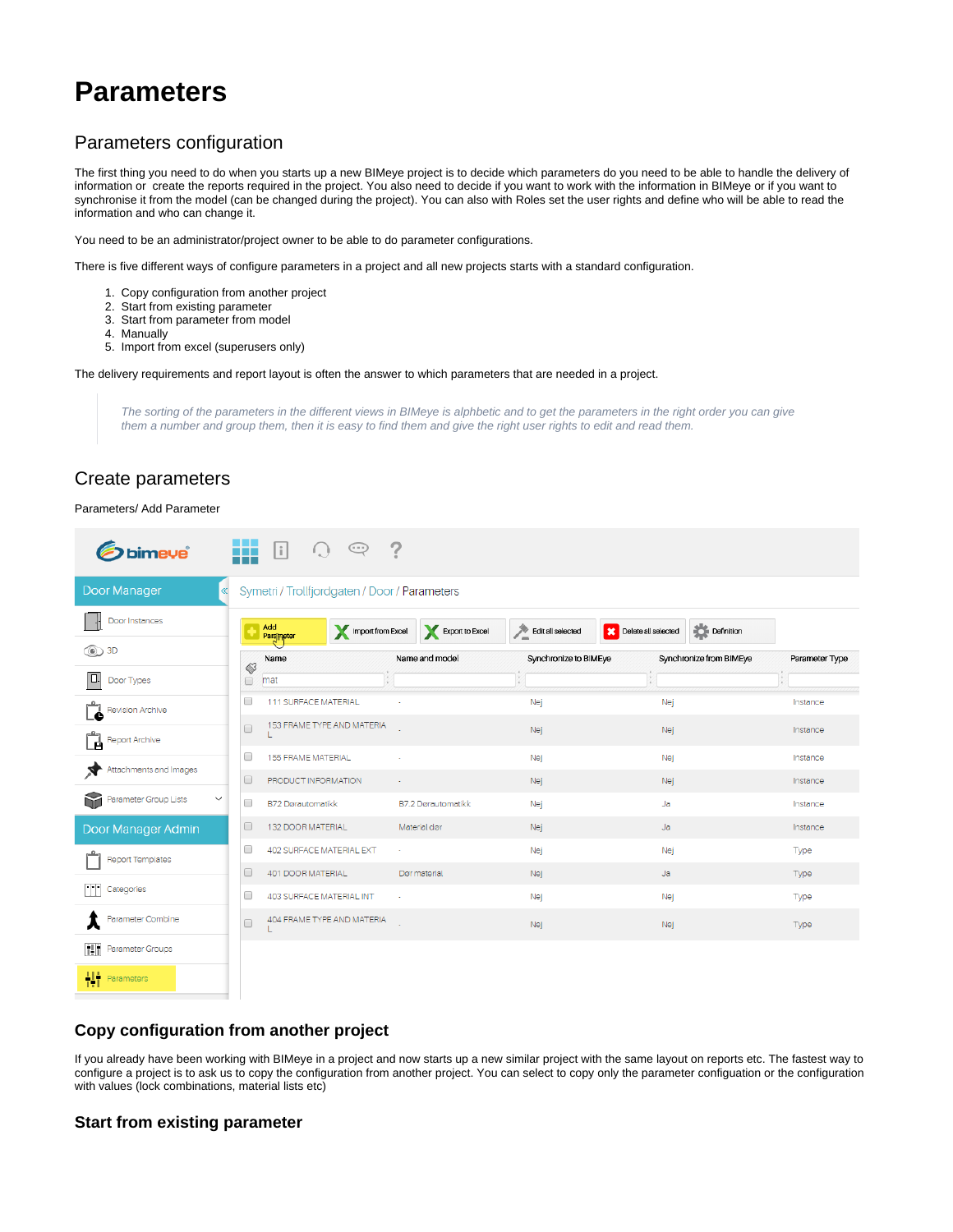# **Parameters**

## Parameters configuration

The first thing you need to do when you starts up a new BIMeye project is to decide which parameters do you need to be able to handle the delivery of information or create the reports required in the project. You also need to decide if you want to work with the information in BIMeye or if you want to synchronise it from the model (can be changed during the project). You can also with Roles set the user rights and define who will be able to read the information and who can change it.

You need to be an administrator/project owner to be able to do parameter configurations.

There is five different ways of configure parameters in a project and all new projects starts with a standard configuration.

- 1. Copy configuration from another project
- 2. Start from existing parameter
- 3. Start from parameter from model
- 4. Manually
- 5. Import from excel (superusers only)

The delivery requirements and report layout is often the answer to which parameters that are needed in a project.

The sorting of the parameters in the different views in BIMeye is alphbetic and to get the parameters in the right order you can give them a number and group them, then it is easy to find them and give the right user rights to edit and read them.

### Create parameters

#### Parameters/ Add Parameter

| <b>bimeye</b>                              | 里<br>$\vert \cdot \vert$<br>$\oplus$          | 7                         |                       |                                   |                |
|--------------------------------------------|-----------------------------------------------|---------------------------|-----------------------|-----------------------------------|----------------|
| Door Manager<br>$\ll$                      | Symetri / Trollfjordgaten / Door / Parameters |                           |                       |                                   |                |
| Door Instances                             | Add<br>Import from Excel<br>Parameter         | Export to Excel           | Edit all selected     | Definition<br>Delete all selected |                |
| <b>t</b>                                   | Name                                          | Name and model            | Synchronize to BIMEye | Synchronize from BIMEye           | Parameter Type |
| Door Types                                 | $\otimes$<br>$\Box$<br>mat                    |                           | 12                    | Y.                                |                |
| <b>Revision Archive</b>                    | $\Box$<br>111 SURFACE MATERIAL                |                           | Nej                   | Nej                               | Instance       |
| Ë<br><b>Report Archive</b>                 | 153 FRAME TYPE AND MATERIA<br>$\Box$          |                           | Nej                   | Nej                               | Instance       |
| Attachments and Images                     | 0<br>155 FRAME MATERIAL                       |                           | Nej                   | Nej                               | Instance       |
|                                            | $\Box$<br>PRODUCT INFORMATION                 |                           | Nej                   | Nej                               | Instance       |
| Y<br>Parameter Group Lists<br>$\checkmark$ | 0<br><b>B72 Dørautomatikk</b>                 | <b>B7.2 Dørautomatikk</b> | Nej                   | Ja                                | Instance       |
| Door Manager Admin                         | $\Box$<br>132 DOOR MATERIAL                   | Material dør              | Nej                   | Ja                                | Instance       |
| <b>Report Templates</b>                    | 0<br>402 SURFACE MATERIAL EXT                 | $\sim$                    | Nej                   | Nej                               | Type           |
|                                            | $\Box$<br>401 DOOR MATERIAL                   | Dør material              | Nej                   | Ja                                | <b>Type</b>    |
| m<br>Categories                            | 0<br>403 SURFACE MATERIAL INT                 |                           | Nej                   | Nej                               | Type           |
| Parameter Combine                          | 404 FRAME TYPE AND MATERIA<br>$\Box$          |                           | Nej                   | Nej                               | Type           |
| 囲<br>Parameter Groups                      |                                               |                           |                       |                                   |                |
| 梉<br>Parameters                            |                                               |                           |                       |                                   |                |

#### **Copy configuration from another project**

If you already have been working with BIMeye in a project and now starts up a new similar project with the same layout on reports etc. The fastest way to configure a project is to ask us to copy the configuration from another project. You can select to copy only the parameter configuation or the configuration with values (lock combinations, material lists etc)

#### **Start from existing parameter**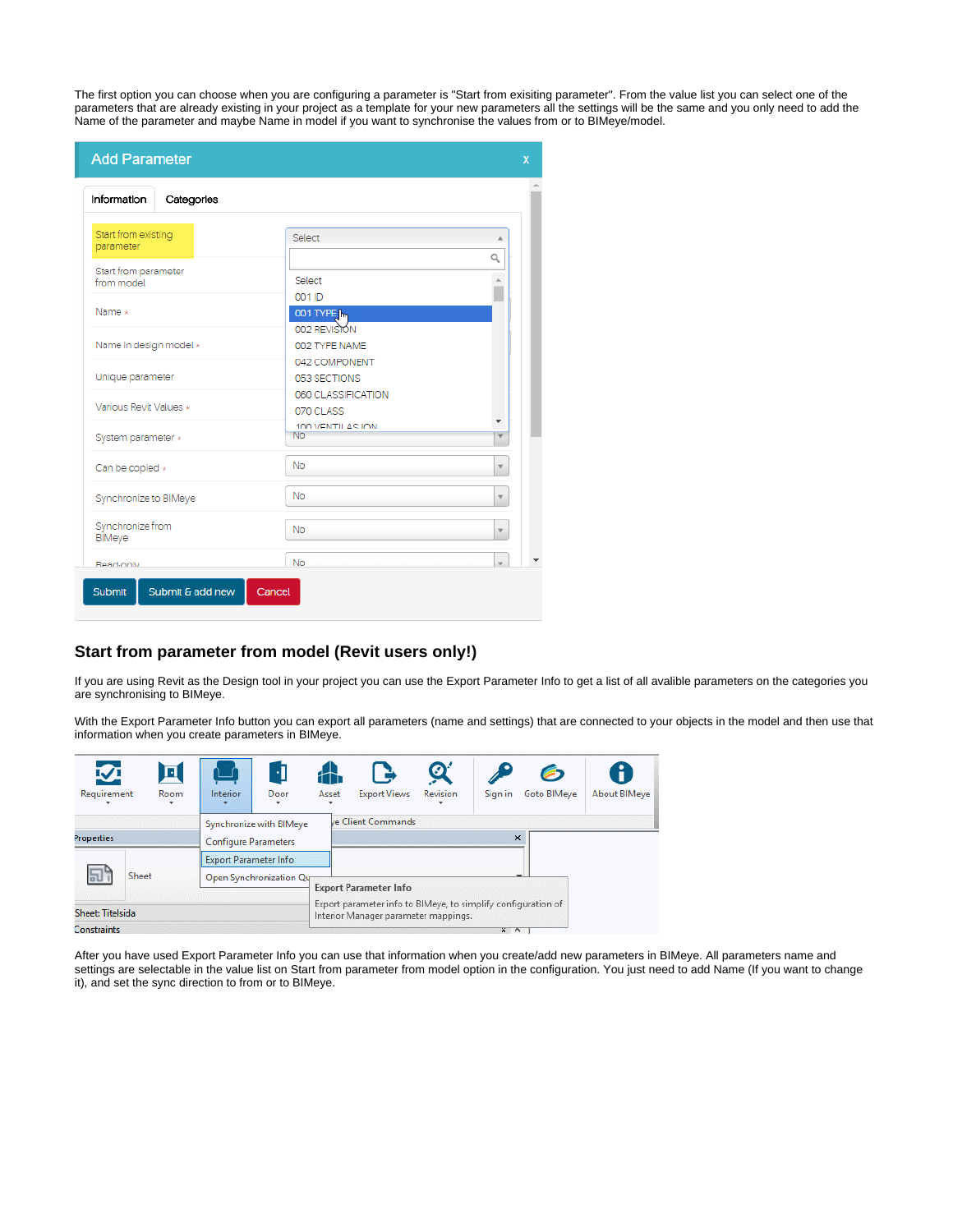The first option you can choose when you are configuring a parameter is "Start from exisiting parameter". From the value list you can select one of the parameters that are already existing in your project as a template for your new parameters all the settings will be the same and you only need to add the Name of the parameter and maybe Name in model if you want to synchronise the values from or to BIMeye/model.

| <b>Add Parameter</b>                      |                                    | $\mathbf x$  |
|-------------------------------------------|------------------------------------|--------------|
| Information<br>Categories                 |                                    |              |
| Start from existing<br>parameter          | Select                             | Q            |
| Start from parameter<br>from model        | Select<br>001 ID                   |              |
| Name $\star$                              | 001 TYPE [m<br>002 REVISION        |              |
| Name in design model *                    | 002 TYPE NAME<br>042 COMPONENT     |              |
| Unique parameter                          | 053 SECTIONS<br>060 CLASSIFICATION |              |
| Various Revit Values *                    | 070 CLASS<br>100 VENTIL AS ION     |              |
| System parameter *                        | <b>No</b>                          |              |
| Can be copied *                           | No<br><b>No</b>                    | v<br>v       |
| Synchronize to BIMeye<br>Synchronize from | <b>No</b>                          | $\mathbf{v}$ |
| BIMeye<br>Read-only                       | <b>No</b>                          | $\mathbf{v}$ |
| Submit & add new<br>Submit                | Cancel                             |              |

#### **Start from parameter from model (Revit users only!)**

If you are using Revit as the Design tool in your project you can use the Export Parameter Info to get a list of all avalible parameters on the categories you are synchronising to BIMeye.

With the Export Parameter Info button you can export all parameters (name and settings) that are connected to your objects in the model and then use that information when you create parameters in BIMeye.

| $\mathbf{\nabla}$<br>回<br>Requirement<br>Room | $\cdot \mathbf{l}$<br>Door<br>Interior<br>$\overline{\phantom{a}}$                     | <b>Export Views</b><br>Asset                                                                                                          | $\boldsymbol{\varnothing}$<br>Revision | Sign in | Goto BIMeve | H<br>About BIMeye |
|-----------------------------------------------|----------------------------------------------------------------------------------------|---------------------------------------------------------------------------------------------------------------------------------------|----------------------------------------|---------|-------------|-------------------|
| <b>Properties</b>                             | Synchronize with BIMeye<br><b>Configure Parameters</b><br><b>Export Parameter Info</b> | ve Client Commands                                                                                                                    |                                        |         | $\times$    |                   |
| Sheet<br>Sheet: Titelsida                     | Open Synchronization Qua                                                               | <b>Export Parameter Info</b><br>Export parameter info to BIMeye, to simplify configuration of<br>Interior Manager parameter mappings. |                                        |         |             |                   |

After you have used Export Parameter Info you can use that information when you create/add new parameters in BIMeye. All parameters name and settings are selectable in the value list on Start from parameter from model option in the configuration. You just need to add Name (If you want to change it), and set the sync direction to from or to BIMeye.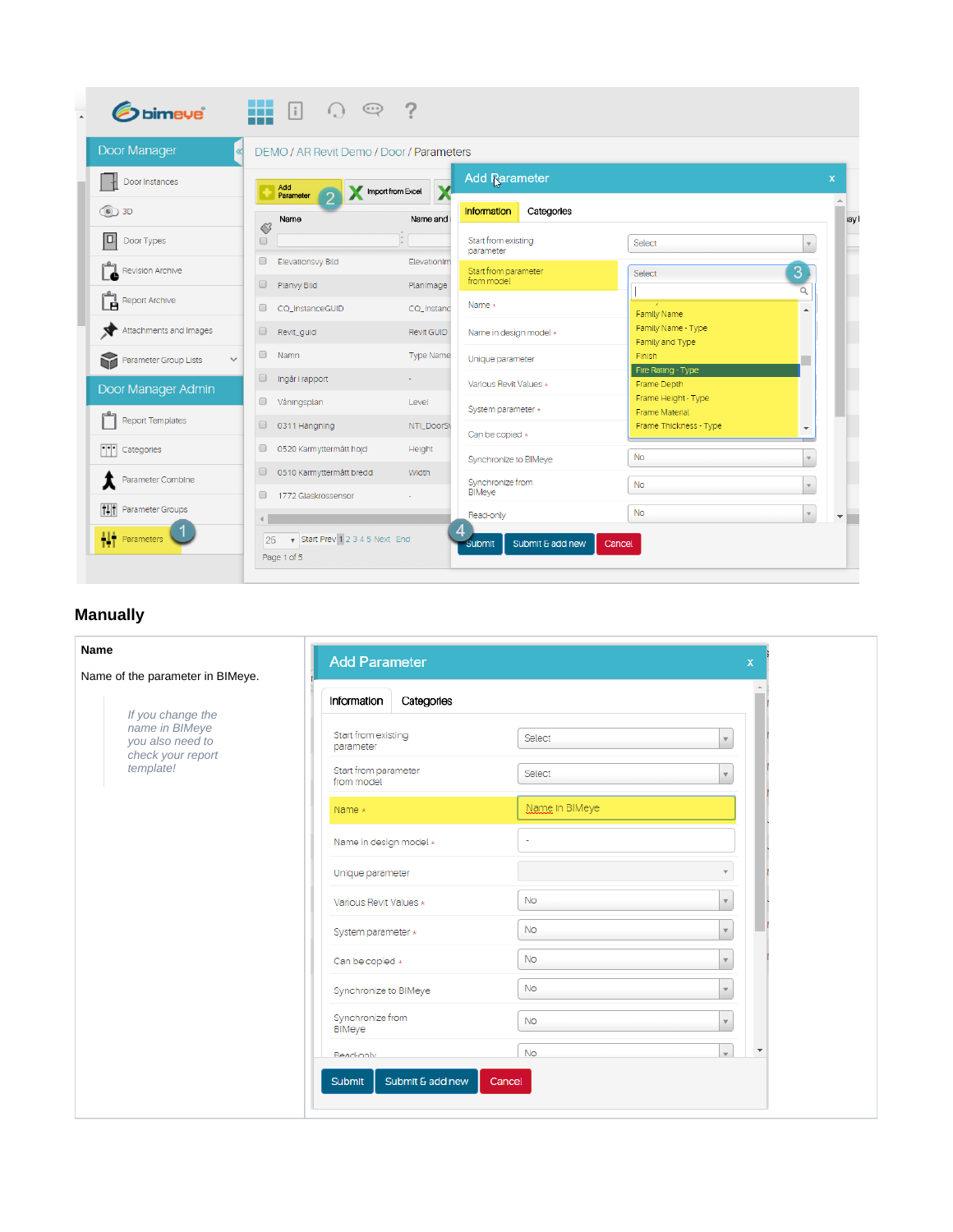| Door Manager                          |                      | <b>DEMO / AR Revit Demo / Door / Parameters</b> |                   |                                  |                                              |                           |
|---------------------------------------|----------------------|-------------------------------------------------|-------------------|----------------------------------|----------------------------------------------|---------------------------|
| Door Instances                        |                      | Add<br>Parameter                                | Import from Excel | <b>Add Rarameter</b>             |                                              | $\boldsymbol{\mathsf{x}}$ |
| <b>t</b>                              |                      | Name                                            | Name and          | Information<br>Categories        |                                              |                           |
| IO.<br>Door Types                     | $\Diamond$<br>□      |                                                 |                   | Start from existing<br>parameter | Select                                       |                           |
| <b>Revision Archive</b>               | $\Box$               | Elevationsvy Bild                               | ElevationIm       | Start from parameter             | Select                                       | $\overline{3}$            |
|                                       | $\Box$               | Planvy Bild                                     | Planimage         | from model                       |                                              | $\alpha$                  |
| Report Archive<br>é                   | $\Box$               | CQ_InstanceGUID                                 | CQ_Instanc        | Name $\star$                     | Family Name                                  | $\blacktriangle$          |
| Attachments and Images                | $\Box$               | Revit_guid                                      | <b>Revit GUID</b> | Name in design model *           | Family Name - Type<br>Family and Type        |                           |
| Parameter Group Lists<br>$\checkmark$ | $\Box$               | Namn                                            | <b>Type Name</b>  | Unique parameter                 | Finish                                       |                           |
| Door Manager Admin                    | $\Box$               | Ingår i rapport                                 |                   | Various Revit Values *           | Fire Rating - Type<br>Frame Depth            |                           |
|                                       | $\Box$               | Våningsplan                                     | Level             | System parameter *               | Frame Height - Type<br><b>Frame Material</b> |                           |
| <b>Report Templates</b>               | $\qquad \qquad \Box$ | 0311 Hangning                                   | NTI_DoorS\        | Can be copied $\star$            | Frame Thickness - Type                       |                           |
| m<br>Categories                       | $\Box$               | 0520 Karmyttermått höjd                         | Height            | Synchronize to BIMeye            | <b>No</b>                                    |                           |
| Parameter Combine                     | $\Box$               | 0510 Karmyttermått bredd                        | Width             | Synchronize from                 | <b>No</b>                                    | $\mathbf{v}$              |
| ĦĦ<br>Parameter Groups                |                      | 1772 Glaskrossensor                             |                   | <b>BIMeye</b>                    |                                              |                           |
|                                       |                      |                                                 |                   | Read-only                        | <b>No</b>                                    | $\forall$                 |

## **Manually**

| Name                                                    | <b>Add Parameter</b><br>X                                             |
|---------------------------------------------------------|-----------------------------------------------------------------------|
| Name of the parameter in BIMeye.                        |                                                                       |
| If you change the                                       | Information<br>Categories                                             |
| name in BIMeye<br>you also need to<br>check your report | Start from existing<br>Select<br>$\overline{\mathbf{v}}$<br>parameter |
| template!                                               | Start from parameter<br>Select<br>$\mathbf{v}$<br>from model          |
|                                                         | Name in BIMeye<br>Name $*$                                            |
|                                                         | Name in design model *<br>٠                                           |
|                                                         | Unique parameter                                                      |
|                                                         | <b>No</b><br>Various Revit Values *<br>$\mathbf{v}$                   |
|                                                         | <b>No</b><br>System parameter *<br>$\mathbf{v}$                       |
|                                                         | <b>No</b><br>Can be copied *<br>$\mathbf{v}$                          |
|                                                         | No<br>Synchronize to BIMeye<br>$\mathbf{v}$                           |
|                                                         | Synchronize from<br><b>No</b><br>$\mathbf v$<br>BiMeye                |
|                                                         | $\overline{\mathbf{v}}$<br><b>No</b><br>$\mathbf{v}$<br>Read-only     |
|                                                         | Submit & add new<br>Submit<br>Cancel                                  |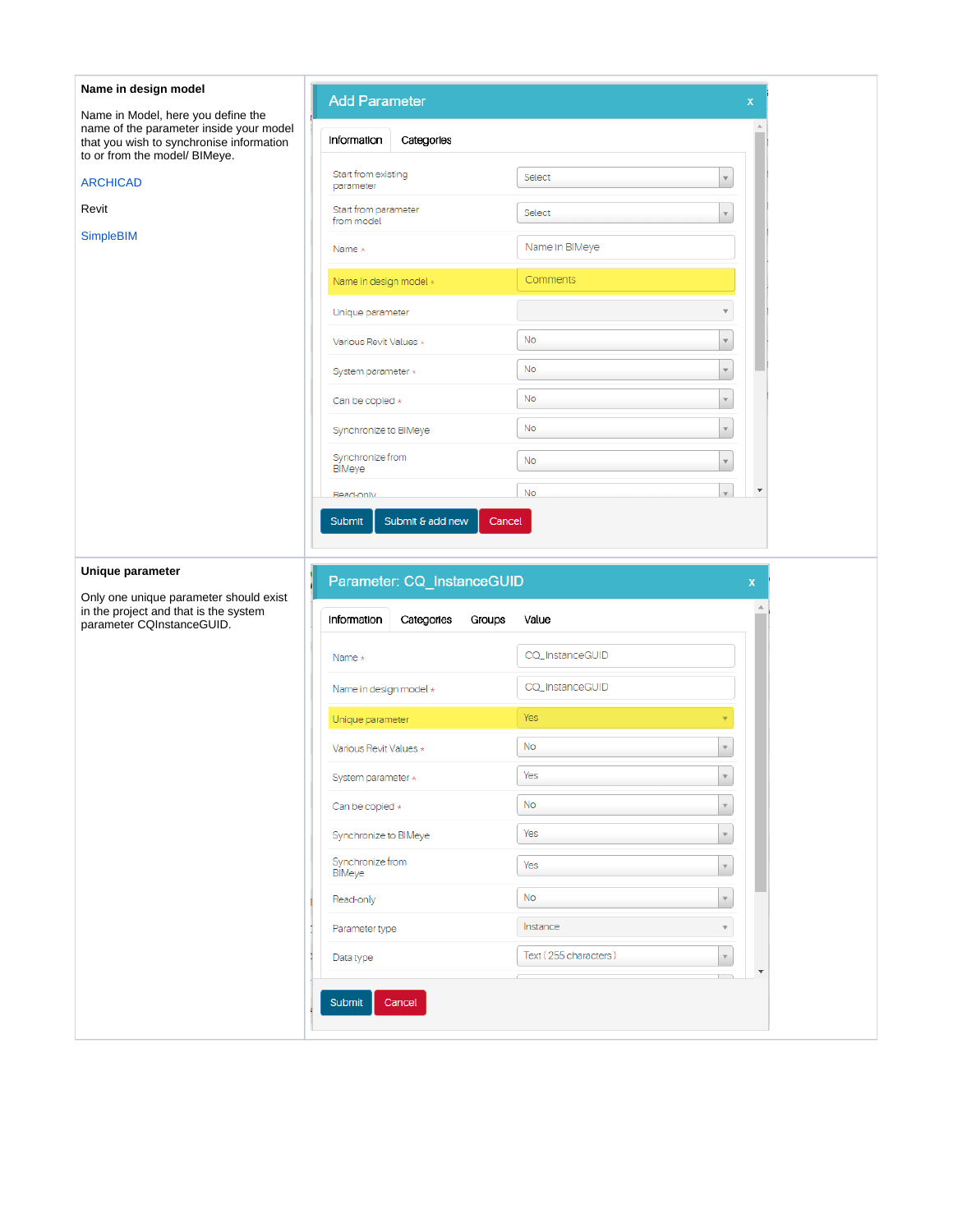| Name in Model, here you define the<br>name of the parameter inside your model<br>that you wish to synchronise information<br>to or from the model/ BIMeye.<br><b>ARCHICAD</b><br>parameter<br>Revit<br><b>SimpleBIM</b><br>Name $\star$ | <b>Add Parameter</b><br>Information<br>Categories<br>Start from existing<br>Start from parameter<br>from model | Select<br>Select |                         |
|-----------------------------------------------------------------------------------------------------------------------------------------------------------------------------------------------------------------------------------------|----------------------------------------------------------------------------------------------------------------|------------------|-------------------------|
|                                                                                                                                                                                                                                         |                                                                                                                |                  |                         |
|                                                                                                                                                                                                                                         |                                                                                                                |                  |                         |
|                                                                                                                                                                                                                                         |                                                                                                                |                  | $\mathbf{v}$            |
|                                                                                                                                                                                                                                         |                                                                                                                |                  |                         |
|                                                                                                                                                                                                                                         |                                                                                                                | Name In BIMeye   |                         |
|                                                                                                                                                                                                                                         | Name in design model *                                                                                         | Comments         |                         |
|                                                                                                                                                                                                                                         | Unique parameter                                                                                               |                  |                         |
|                                                                                                                                                                                                                                         | Various Revit Values *                                                                                         | No               | $\overline{\mathbf{v}}$ |
|                                                                                                                                                                                                                                         | System parameter *                                                                                             | No               | $\mathbf{v}$            |
|                                                                                                                                                                                                                                         | Can be copied *                                                                                                | No               | $\mathbf{v}$            |
|                                                                                                                                                                                                                                         | Synchronize to BIMeye                                                                                          | <b>No</b>        | $\mathbf v$             |
| BIMeye                                                                                                                                                                                                                                  | Synchronize from                                                                                               | <b>No</b>        | $\mathbf{v}$            |
| Read-only                                                                                                                                                                                                                               |                                                                                                                | No               | ÷<br>$\mathbf{v}$       |
| Unique parameter                                                                                                                                                                                                                        |                                                                                                                |                  |                         |
| Only one unique parameter should exist<br>in the project and that is the system<br>parameter CQInstanceGUID.                                                                                                                            | Parameter: CQ_InstanceGUID<br>Information<br>Categories<br>Groups                                              | Value            | $\mathsf X$             |
| Name $\star$                                                                                                                                                                                                                            |                                                                                                                | CQ_InstanceGUID  |                         |
|                                                                                                                                                                                                                                         | Name in design model *                                                                                         | CQ_InstanceGUID  |                         |
|                                                                                                                                                                                                                                         | Unique parameter                                                                                               | Yes              |                         |
|                                                                                                                                                                                                                                         | Various Revit Values *                                                                                         | <b>No</b>        |                         |
|                                                                                                                                                                                                                                         | System parameter *                                                                                             | Yes              | $\mathbf v$             |
|                                                                                                                                                                                                                                         | Can be copied $\star$                                                                                          | <b>No</b>        | $\mathbf v$             |
|                                                                                                                                                                                                                                         | Synchronize to BIMeye                                                                                          | Yes              | $\mathbf{v}$            |
| <b>BIMeye</b>                                                                                                                                                                                                                           | Synchronize from                                                                                               | Yes              | $\mathbf v$             |
|                                                                                                                                                                                                                                         | Read-only                                                                                                      | <b>No</b>        | $\mathbf v$             |
|                                                                                                                                                                                                                                         | Parameter type                                                                                                 | Instance         |                         |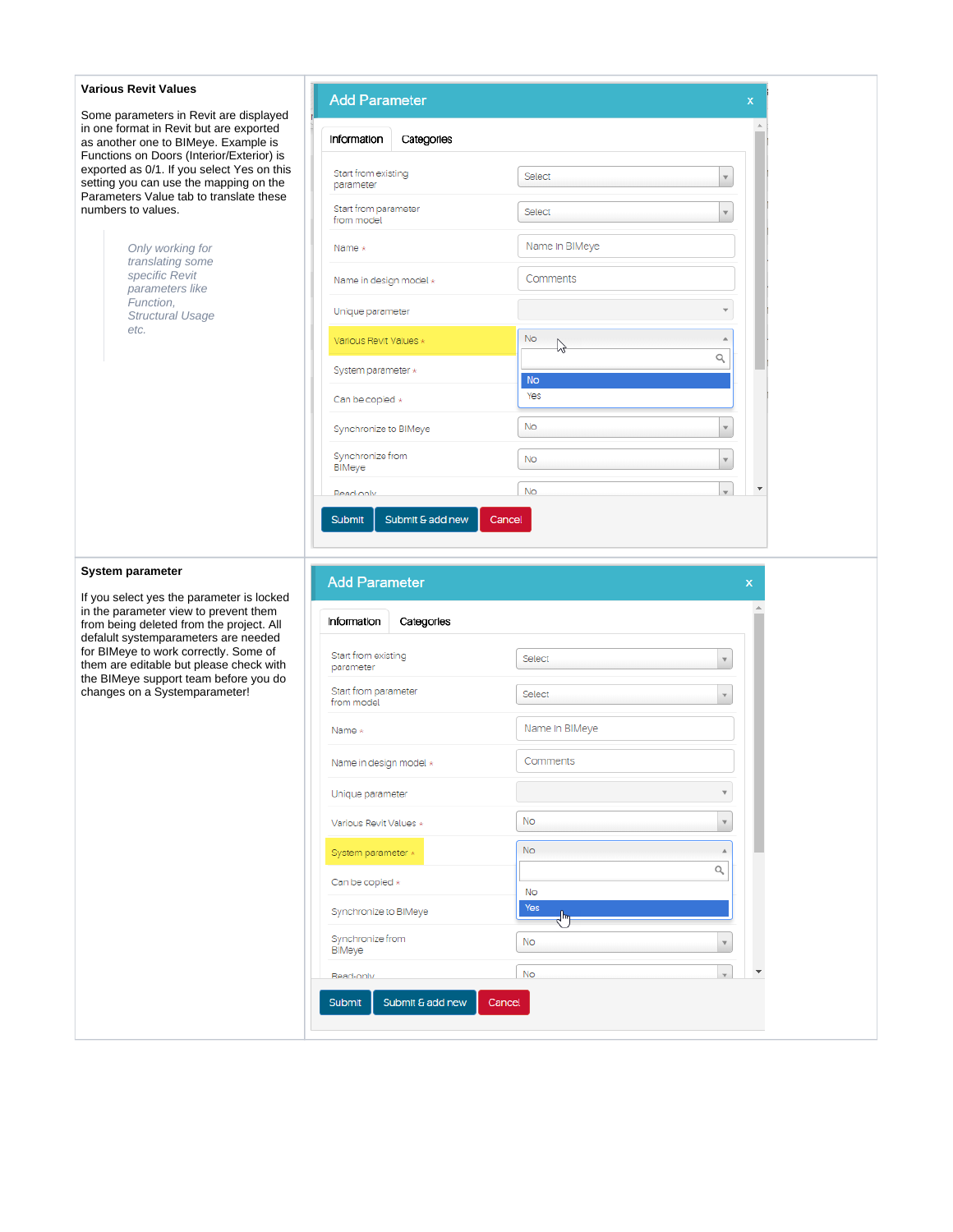| <b>Various Revit Values</b>                                                                                                     | <b>Add Parameter</b>               |                | X                                        |  |
|---------------------------------------------------------------------------------------------------------------------------------|------------------------------------|----------------|------------------------------------------|--|
| Some parameters in Revit are displayed<br>in one format in Revit but are exported                                               |                                    |                |                                          |  |
| as another one to BIMeye. Example is<br>Functions on Doors (Interior/Exterior) is                                               | Information<br>Categories          |                |                                          |  |
| exported as 0/1. If you select Yes on this<br>setting you can use the mapping on the<br>Parameters Value tab to translate these | Start from existing<br>parameter   | Select         | $\mathbf{v}$                             |  |
| numbers to values.                                                                                                              | Start from parameter<br>from model | Select         |                                          |  |
| Only working for<br>translating some                                                                                            | Name *                             | Name In BIMeye |                                          |  |
| specific Revit<br>parameters like                                                                                               | Name in design model *             | Comments       |                                          |  |
| Function,<br><b>Structural Usage</b>                                                                                            | Unique parameter                   |                |                                          |  |
| etc.                                                                                                                            | Various Revit Values *             | No             | Q                                        |  |
|                                                                                                                                 | System parameter *                 | <b>No</b>      |                                          |  |
|                                                                                                                                 | Can be copied *                    | Yes            |                                          |  |
|                                                                                                                                 | Synchronize to BIMeye              | No             | $\mathbf{v}$                             |  |
|                                                                                                                                 | Synchronize from<br>BIMeye         | No             | $\mathbf v$                              |  |
|                                                                                                                                 | Read-only                          | <b>No</b>      | $\overline{\phantom{a}}$<br>$\mathbf{v}$ |  |
|                                                                                                                                 | Submit & add new<br>Submit         | Cancel         |                                          |  |
| <b>System parameter</b>                                                                                                         | <b>Add Parameter</b>               |                | $\mathsf{x}$                             |  |
| If you select yes the parameter is locked<br>in the parameter view to prevent them<br>from being deleted from the project. All  | Information<br>Categories          |                |                                          |  |
| defalult systemparameters are needed<br>for BIMeye to work correctly. Some of<br>them are editable but please check with        | Start from existing<br>parameter   | Select         |                                          |  |
| the BIMeye support team before you do<br>changes on a Systemparameter!                                                          | Start from parameter<br>from model | Select         |                                          |  |
|                                                                                                                                 | Name $*$                           | Name In BIMeye |                                          |  |
|                                                                                                                                 | Name in design model *             | Comments       |                                          |  |
|                                                                                                                                 | Unique parameter                   |                | ۳                                        |  |
|                                                                                                                                 | Various Revit Values *             | No.            | $\overline{\mathbf{v}}$                  |  |
|                                                                                                                                 | System parameter *                 | <b>No</b>      |                                          |  |
|                                                                                                                                 | Can be copied *                    | No             | Q                                        |  |
|                                                                                                                                 | Synchronize to BIMeye              | <b>Yes</b>     |                                          |  |
|                                                                                                                                 | Synchronize from<br>BIMeye         | No             |                                          |  |
|                                                                                                                                 | Read-only                          | No             | $\overline{\phantom{a}}$                 |  |

Cancel

Submit

Submit & add new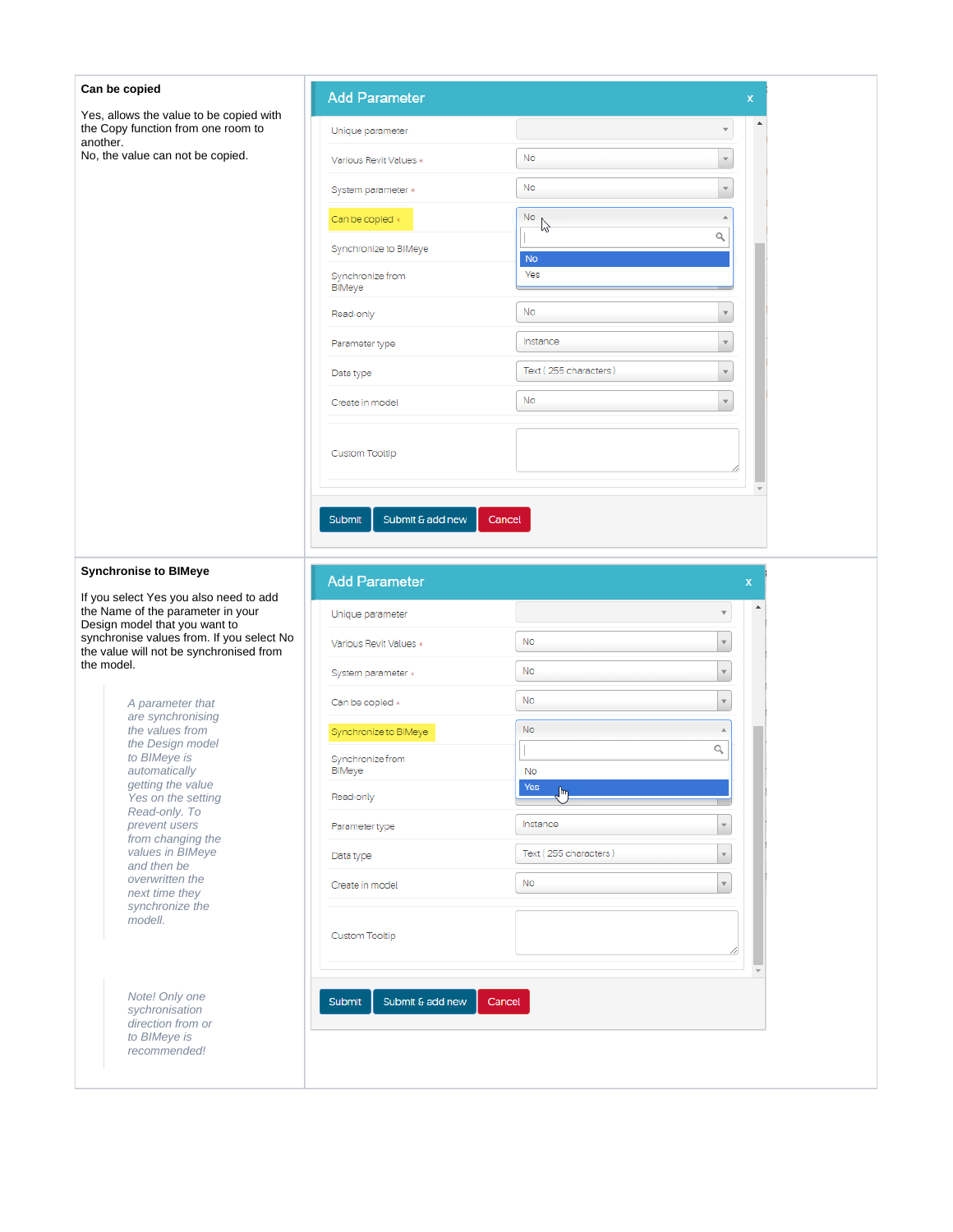| Can be copied                                                                                                | <b>Add Parameter</b>       |                       | X.           |
|--------------------------------------------------------------------------------------------------------------|----------------------------|-----------------------|--------------|
| Yes, allows the value to be copied with<br>the Copy function from one room to                                | Unique parameter           |                       | ۸            |
| another.<br>No, the value can not be copied.                                                                 | Various Revit Values *     | No                    |              |
|                                                                                                              | System parameter *         | No                    |              |
|                                                                                                              | Can be copied *            | <b>No</b><br>hš       |              |
|                                                                                                              | Synchronize to BIMeye      | No                    | Q            |
|                                                                                                              | Synchronize from<br>BIMeye | Yes                   |              |
|                                                                                                              | Read-only                  | No                    |              |
|                                                                                                              | Parameter type             | Instance              |              |
|                                                                                                              | Data type                  | Text (255 characters) |              |
|                                                                                                              | Create in model            | No                    |              |
|                                                                                                              |                            |                       |              |
|                                                                                                              | <b>Custom Tooltip</b>      |                       |              |
|                                                                                                              |                            |                       |              |
|                                                                                                              | Submit & add new<br>Submit | Cancel                |              |
|                                                                                                              |                            |                       |              |
| <b>Synchronise to BIMeye</b>                                                                                 | <b>Add Parameter</b>       |                       | $\mathsf{x}$ |
| If you select Yes you also need to add<br>the Name of the parameter in your<br>Design model that you want to | Unique parameter           |                       |              |
| synchronise values from. If you select No<br>the value will not be synchronised from                         | Various Revit Values *     | No                    |              |
| the model.                                                                                                   | System parameter *         | No                    | v            |
| A parameter that                                                                                             | Can be copied *            | No                    |              |
| are synchronising<br>the values from<br>the Design model                                                     | Synchronize to BIMeye      | <b>No</b>             |              |
| to BIMeye is<br>automatically                                                                                | Synchronize from<br>BIMeye | <b>No</b>             | Q            |
| getting the value<br>Yes on the setting                                                                      | Read-only                  | Yes<br>յհդ            |              |
| Read-only. To<br>prevent users                                                                               | Parameter type             | Instance              |              |
| from changing the<br>values in <b>BIMeye</b><br>and then be                                                  | Data type                  | Text (255 characters) |              |
| overwritten the<br>next time they                                                                            | Create in model            | No                    |              |
| synchronize the<br>modell.                                                                                   |                            |                       |              |
|                                                                                                              | <b>Custom Tooltip</b>      |                       |              |
|                                                                                                              |                            |                       |              |
| Note! Only one<br>sychronisation                                                                             | Submit<br>Submit & add new | Cancel                |              |
| direction from or<br>to BIMeye is                                                                            |                            |                       |              |
| recommended!                                                                                                 |                            |                       |              |
|                                                                                                              |                            |                       |              |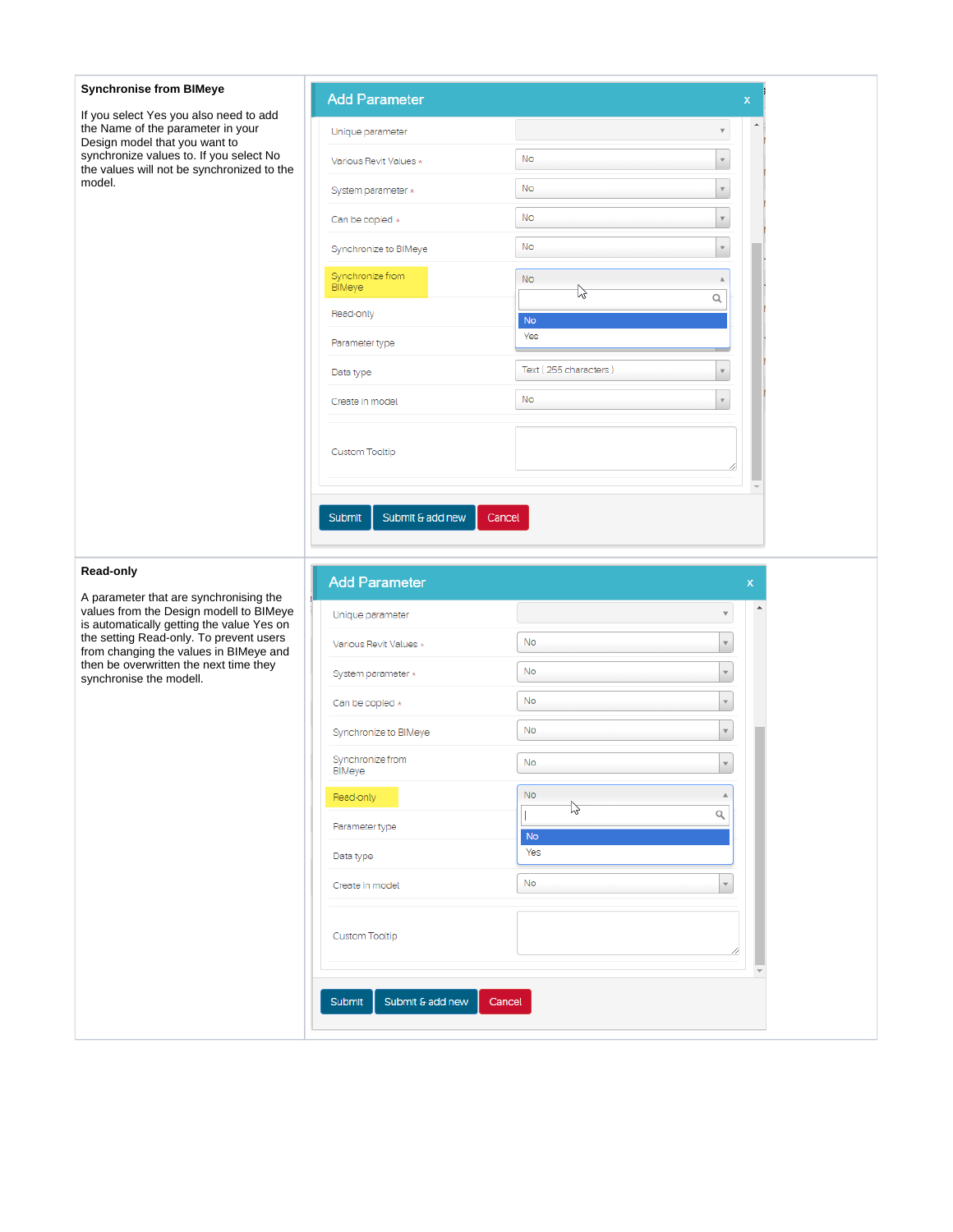| <b>Synchronise from BIMeye</b>                                                                                                 | <b>Add Parameter</b>                 |                       |                         | x                  |
|--------------------------------------------------------------------------------------------------------------------------------|--------------------------------------|-----------------------|-------------------------|--------------------|
| If you select Yes you also need to add<br>the Name of the parameter in your<br>Design model that you want to                   | Unique parameter                     |                       | $\overline{\mathbf{v}}$ |                    |
| synchronize values to. If you select No<br>the values will not be synchronized to the                                          | Various Revit Values *               | No                    | $\mathbf v$             |                    |
| model.                                                                                                                         | System parameter *                   | <b>No</b>             | $\mathbf{v}$            |                    |
|                                                                                                                                | Can be copied *                      | No                    | $\mathbf v$             |                    |
|                                                                                                                                | Synchronize to BIMeye                | <b>No</b>             | $\mathbf{v}$            |                    |
|                                                                                                                                | Synchronize from<br>BIMeye           | <b>No</b><br>12       | Q                       |                    |
|                                                                                                                                | Read-only                            | No                    |                         |                    |
|                                                                                                                                | Parameter type                       | Yes                   |                         |                    |
|                                                                                                                                | Data type                            | Text (255 characters) | $\overline{\mathbf{v}}$ |                    |
|                                                                                                                                | Create in model                      | No                    |                         |                    |
|                                                                                                                                | Custom Tooltip                       |                       |                         |                    |
|                                                                                                                                | Submit & add new<br>Submit<br>Cancel |                       |                         |                    |
|                                                                                                                                |                                      |                       |                         |                    |
| Read-only                                                                                                                      | <b>Add Parameter</b>                 |                       |                         | $\pmb{\mathsf{x}}$ |
| A parameter that are synchronising the<br>values from the Design modell to BIMeye                                              | Unique parameter                     |                       |                         |                    |
| is automatically getting the value Yes on<br>the setting Read-only. To prevent users<br>from changing the values in BIMeye and | Various Revit Values *               | No                    |                         |                    |
| then be overwritten the next time they<br>synchronise the modell.                                                              | System parameter *                   | <b>No</b>             | $\mathbf{v}$            |                    |
|                                                                                                                                | Can be copied *                      | <b>No</b>             |                         |                    |
|                                                                                                                                | Synchronize to BIMeye                | No                    |                         |                    |
|                                                                                                                                | Synchronize from<br>BIMeye           | No                    |                         |                    |
|                                                                                                                                | Read-only                            | <b>No</b>             |                         |                    |
|                                                                                                                                | Parameter type                       | 12                    | Q                       |                    |
|                                                                                                                                | Data type                            | <b>No</b><br>Yes      |                         |                    |
|                                                                                                                                | Create in model                      | No.                   |                         |                    |
|                                                                                                                                | Custom Tooltip                       |                       |                         |                    |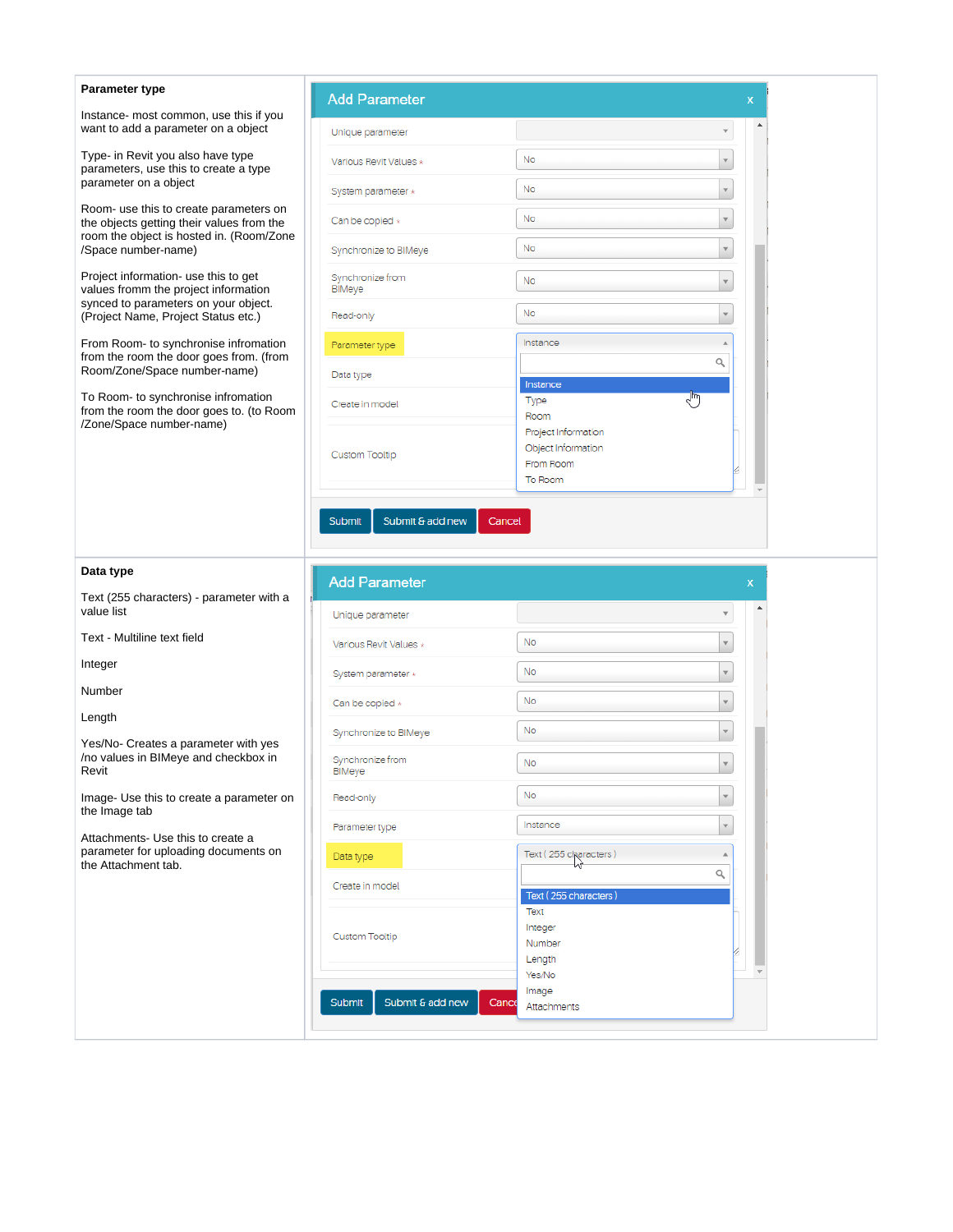| Parameter type                                                                                                                  | <b>Add Parameter</b>       | x                                                      |
|---------------------------------------------------------------------------------------------------------------------------------|----------------------------|--------------------------------------------------------|
| Instance- most common, use this if you<br>want to add a parameter on a object                                                   | Unique parameter           |                                                        |
| Type- in Revit you also have type<br>parameters, use this to create a type                                                      | Various Revit Values *     | No<br>$\mathbf{v}$                                     |
| parameter on a object                                                                                                           | System parameter *         | No                                                     |
| Room- use this to create parameters on<br>the objects getting their values from the<br>room the object is hosted in. (Room/Zone | Can be copied *            | No<br>$\mathbf{v}$                                     |
| /Space number-name)                                                                                                             | Synchronize to BIMeye      | No<br>$\overline{\mathbf{v}}$                          |
| Project information- use this to get<br>values fromm the project information                                                    | Synchronize from<br>BIMeye | No                                                     |
| synced to parameters on your object.<br>(Project Name, Project Status etc.)                                                     | Read-only                  | No                                                     |
| From Room- to synchronise infromation<br>from the room the door goes from. (from                                                | Parameter type             | Instance<br>Q                                          |
| Room/Zone/Space number-name)                                                                                                    | Data type                  | Instance                                               |
| To Room- to synchronise infromation<br>from the room the door goes to. (to Room<br>/Zone/Space number-name)                     | Create in model            | لسرك<br>Type<br>Room                                   |
|                                                                                                                                 | <b>Custom Tooltip</b>      | Project Information<br>Object Information<br>From Room |
|                                                                                                                                 |                            | To Room                                                |
| Data type                                                                                                                       | <b>Add Parameter</b>       | X                                                      |
| Text (255 characters) - parameter with a<br>value list                                                                          | Unique parameter           |                                                        |
| Text - Multiline text field                                                                                                     | Various Revit Values *     | No                                                     |
| Integer                                                                                                                         | System parameter *         | No<br>$\overline{\mathbf{v}}$                          |
| Number                                                                                                                          | Can be copied *            | No                                                     |
| Length                                                                                                                          | Synchronize to BIMeye      | No                                                     |
| Yes/No- Creates a parameter with yes<br>/no values in BIMeye and checkbox in<br>Revit                                           | Synchronize from<br>BIMeye | No                                                     |
| Image- Use this to create a parameter on<br>the Image tab                                                                       | Read-only                  | No<br>$\overline{\mathbf{v}}$                          |
| Attachments- Use this to create a                                                                                               | Parameter type             | Instance<br>v                                          |
| parameter for uploading documents on<br>the Attachment tab.                                                                     | Data type                  | Text (255 characters)                                  |
|                                                                                                                                 | Create in model            | Q<br>Text (255 characters)                             |
|                                                                                                                                 | <b>Custom Tooltip</b>      | Text<br>Integer<br>Number<br>Length                    |
|                                                                                                                                 | Submit<br>Submit & add new | Yes/No<br>Image<br>Cance<br>Attachments                |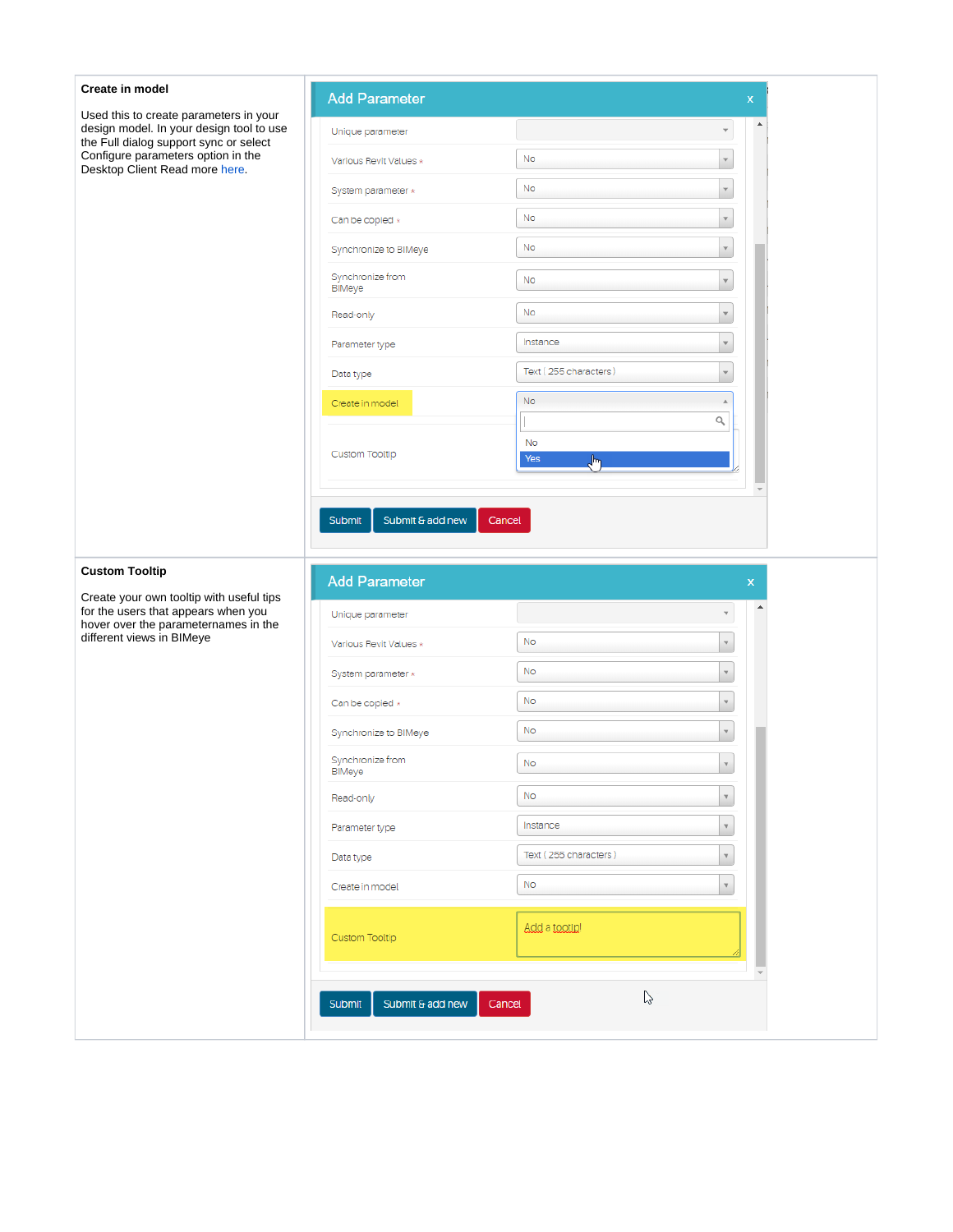| Create in model                                                                                                              | <b>Add Parameter</b>       |                          | x                         |  |
|------------------------------------------------------------------------------------------------------------------------------|----------------------------|--------------------------|---------------------------|--|
| Used this to create parameters in your<br>design model. In your design tool to use<br>the Full dialog support sync or select | Unique parameter           |                          |                           |  |
| Configure parameters option in the<br>Desktop Client Read more here.                                                         | Various Revit Values *     | No                       | $\mathbf v$               |  |
|                                                                                                                              | System parameter *         | <b>No</b>                | $\mathbf{v}$              |  |
|                                                                                                                              | Can be copied $*$          | No                       |                           |  |
|                                                                                                                              | Synchronize to BIMeye      | No                       | $\mathbf v$               |  |
|                                                                                                                              | Synchronize from<br>BIMeye | No                       | $\mathbf v$               |  |
|                                                                                                                              | Read-only                  | No                       | $\mathbf v$               |  |
|                                                                                                                              | Parameter type             | Instance                 | $\mathbf{v}$              |  |
|                                                                                                                              | Data type                  | Text (255 characters)    | $\mathbf{v}$              |  |
|                                                                                                                              | Create in model            | <b>No</b>                | A                         |  |
|                                                                                                                              |                            | $\overline{\phantom{a}}$ | Q                         |  |
|                                                                                                                              | Custom Tooltip             | <b>No</b><br>Yes<br>յհ   |                           |  |
|                                                                                                                              |                            |                          |                           |  |
|                                                                                                                              | Submit & add new<br>Submit |                          |                           |  |
| <b>Custom Tooltip</b>                                                                                                        | <b>Add Parameter</b>       |                          | $\mathbf{x}$              |  |
| Create your own tooltip with useful tips<br>for the users that appears when you                                              | Unique parameter           |                          | ▲                         |  |
| hover over the parameternames in the<br>different views in BIMeye                                                            | Various Revit Values *     | No                       | $\forall$                 |  |
|                                                                                                                              | System parameter *         | <b>No</b>                | $\mathbf{v}$              |  |
|                                                                                                                              | Can be copied *            | <b>No</b>                | ۷                         |  |
|                                                                                                                              | Synchronize to BIMeye      | <b>No</b>                | $\overline{\mathbf{v}}$   |  |
|                                                                                                                              | Synchronize from<br>BIMeye | No                       | $\boldsymbol{\mathrm{v}}$ |  |
|                                                                                                                              | Read-only                  | No.                      | $\overline{\mathbf{v}}$   |  |
|                                                                                                                              | Parameter type             | Instance                 |                           |  |
|                                                                                                                              | Data type                  | Text (255 characters)    | ۷                         |  |
|                                                                                                                              | Create in model            | <b>No</b>                |                           |  |
|                                                                                                                              | Custom Tooltip             | Add a tootip!            |                           |  |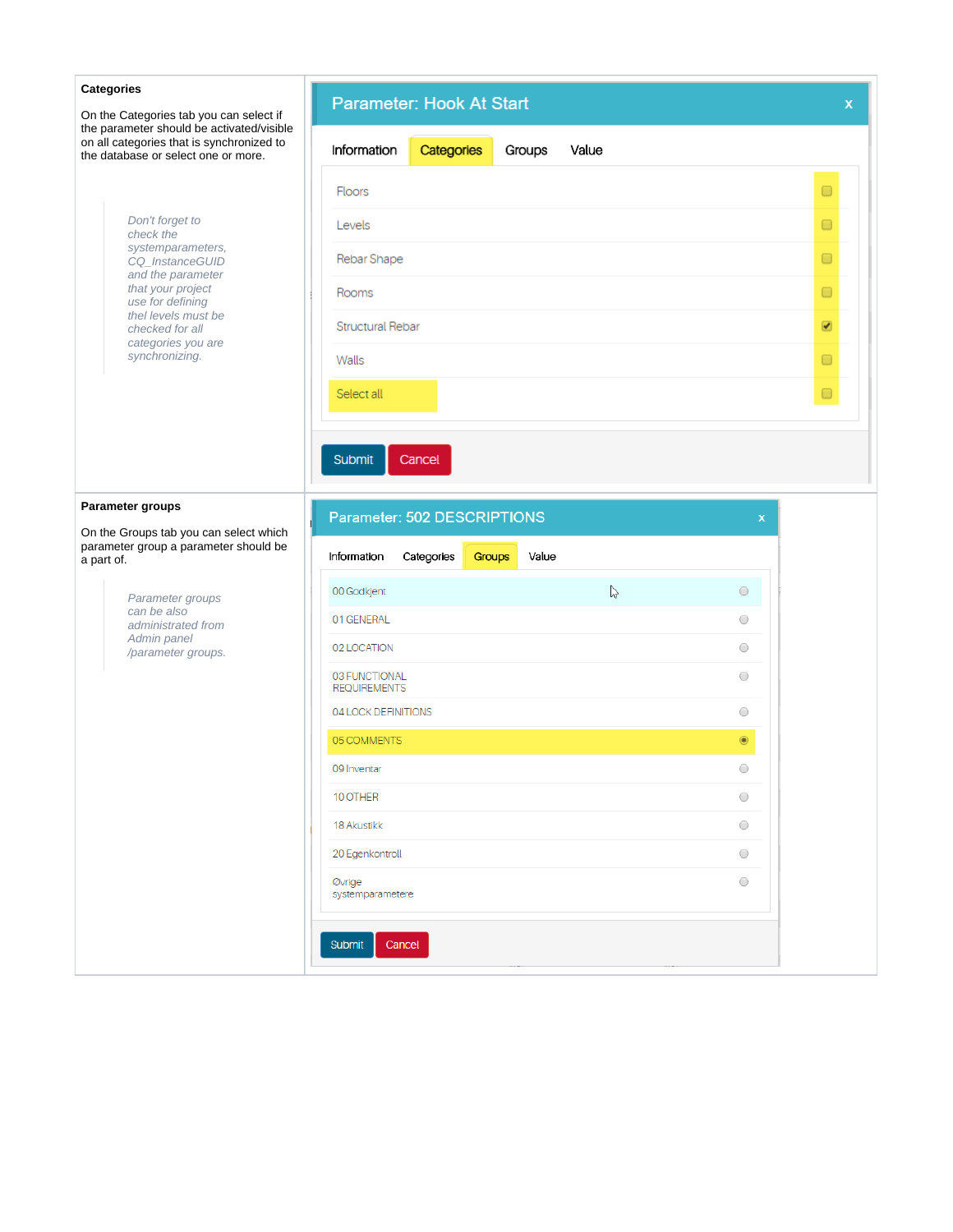| <b>Categories</b><br>On the Categories tab you can select if                                                                  | Parameter: Hook At Start                           | $\mathsf{x}$             |
|-------------------------------------------------------------------------------------------------------------------------------|----------------------------------------------------|--------------------------|
| the parameter should be activated/visible<br>on all categories that is synchronized to<br>the database or select one or more. | Information<br>Categories<br>Value<br>Groups       |                          |
|                                                                                                                               | <b>Floors</b>                                      | $\Box$                   |
| Don't forget to<br>check the                                                                                                  | Levels                                             | $\Box$                   |
| systemparameters,<br>CQ_InstanceGUID                                                                                          | Rebar Shape                                        | $\Box$                   |
| and the parameter<br>that your project<br>use for defining                                                                    | Rooms                                              | $\Box$                   |
| thel levels must be<br>checked for all<br>categories you are                                                                  | <b>Structural Rebar</b>                            | $\overline{\mathcal{L}}$ |
| synchronizing.                                                                                                                | Walls                                              | $\Box$                   |
|                                                                                                                               | Select all                                         | $\Box$                   |
|                                                                                                                               |                                                    |                          |
|                                                                                                                               | Submit<br>Cancel                                   |                          |
| Parameter groups                                                                                                              |                                                    |                          |
| On the Groups tab you can select which<br>parameter group a parameter should be                                               | Parameter: 502 DESCRIPTIONS                        | $\mathsf X$              |
| a part of.                                                                                                                    | Information<br>Categories<br>Groups<br>Value       |                          |
| Parameter groups<br>can be also                                                                                               | $\mathbb{P}$<br>$\bigcirc$<br>00 Godkjent          |                          |
| administrated from<br>Admin panel                                                                                             | $\bigcirc$<br>01 GENERAL                           |                          |
| /parameter groups.                                                                                                            | 02 LOCATION<br>0                                   |                          |
|                                                                                                                               | 03 FUNCTIONAL<br>$\bigcirc$<br><b>REQUIREMENTS</b> |                          |
|                                                                                                                               | $\bigcirc$<br>04 LOCK DEFINITIONS                  |                          |
|                                                                                                                               | 05 COMMENTS<br>$\circledcirc$                      |                          |
|                                                                                                                               | $\bigcirc$<br>09 Inventar                          |                          |
|                                                                                                                               | $\bigcirc$<br>10 OTHER                             |                          |
|                                                                                                                               | 18 Akustikk<br>$\bigcirc$                          |                          |
|                                                                                                                               | 20 Egenkontroll<br>$\bigcirc$                      |                          |
|                                                                                                                               | $\bigcirc$<br>Øvrige<br>systemparametere           |                          |
|                                                                                                                               | Submit<br>Cancel                                   |                          |